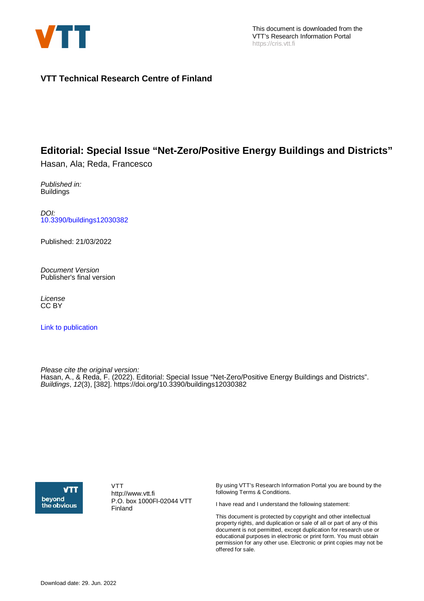

## **VTT Technical Research Centre of Finland**

## **Editorial: Special Issue "Net-Zero/Positive Energy Buildings and Districts"**

Hasan, Ala; Reda, Francesco

Published in: **Buildings** 

DOI: [10.3390/buildings12030382](https://doi.org/10.3390/buildings12030382)

Published: 21/03/2022

Document Version Publisher's final version

License CC BY

[Link to publication](https://cris.vtt.fi/en/publications/575062ed-2068-490f-9362-354404f7c65f)

Please cite the original version: Hasan, A., & Reda, F. (2022). Editorial: Special Issue "Net-Zero/Positive Energy Buildings and Districts". Buildings, 12(3), [382]. <https://doi.org/10.3390/buildings12030382>



VTT http://www.vtt.fi P.O. box 1000FI-02044 VTT Finland

By using VTT's Research Information Portal you are bound by the following Terms & Conditions.

I have read and I understand the following statement:

This document is protected by copyright and other intellectual property rights, and duplication or sale of all or part of any of this document is not permitted, except duplication for research use or educational purposes in electronic or print form. You must obtain permission for any other use. Electronic or print copies may not be offered for sale.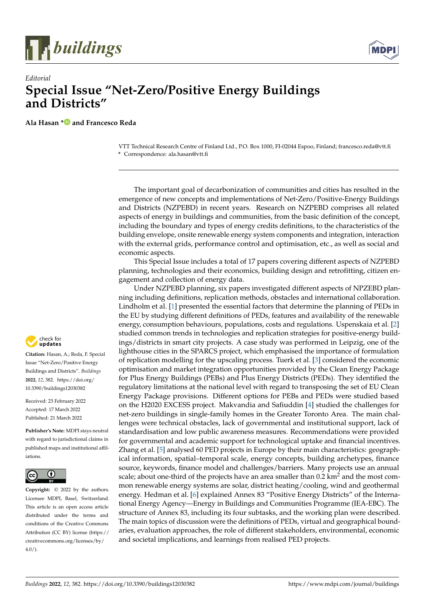



## *Editorial* **Special Issue "Net-Zero/Positive Energy Buildings and Districts"**

**Ala Hasan [\\*](https://orcid.org/0000-0003-1082-5615) and Francesco Reda**

VTT Technical Research Centre of Finland Ltd., P.O. Box 1000, FI-02044 Espoo, Finland; francesco.reda@vtt.fi **\*** Correspondence: ala.hasan@vtt.fi

The important goal of decarbonization of communities and cities has resulted in the emergence of new concepts and implementations of Net-Zero/Positive-Energy Buildings and Districts (NZPEBD) in recent years. Research on NZPEBD comprises all related aspects of energy in buildings and communities, from the basic definition of the concept, including the boundary and types of energy credits definitions, to the characteristics of the building envelope, onsite renewable energy system components and integration, interaction with the external grids, performance control and optimisation, etc., as well as social and economic aspects.

This Special Issue includes a total of 17 papers covering different aspects of NZPEBD planning, technologies and their economics, building design and retrofitting, citizen engagement and collection of energy data.

Under NZPEBD planning, six papers investigated different aspects of NPZEBD planning including definitions, replication methods, obstacles and international collaboration. Lindholm et al. [\[1\]](#page-3-0) presented the essential factors that determine the planning of PEDs in the EU by studying different definitions of PEDs, features and availability of the renewable energy, consumption behaviours, populations, costs and regulations. Uspenskaia et al. [\[2\]](#page-3-1) studied common trends in technologies and replication strategies for positive-energy buildings/districts in smart city projects. A case study was performed in Leipzig, one of the lighthouse cities in the SPARCS project, which emphasised the importance of formulation of replication modelling for the upscaling process. Tuerk et al. [\[3\]](#page-3-2) considered the economic optimisation and market integration opportunities provided by the Clean Energy Package for Plus Energy Buildings (PEBs) and Plus Energy Districts (PEDs). They identified the regulatory limitations at the national level with regard to transposing the set of EU Clean Energy Package provisions. Different options for PEBs and PEDs were studied based on the H2020 EXCESS project. Makvandia and Safiuddin [\[4\]](#page-3-3) studied the challenges for net-zero buildings in single-family homes in the Greater Toronto Area. The main challenges were technical obstacles, lack of governmental and institutional support, lack of standardisation and low public awareness measures. Recommendations were provided for governmental and academic support for technological uptake and financial incentives. Zhang et al. [\[5\]](#page-3-4) analysed 60 PED projects in Europe by their main characteristics: geographical information, spatial–temporal scale, energy concepts, building archetypes, finance source, keywords, finance model and challenges/barriers. Many projects use an annual scale; about one-third of the projects have an area smaller than  $0.2 \text{ km}^2$  and the most common renewable energy systems are solar, district heating/cooling, wind and geothermal energy. Hedman et al. [\[6\]](#page-3-5) explained Annex 83 "Positive Energy Districts" of the International Energy Agency—Energy in Buildings and Communities Programme (IEA-EBC). The structure of Annex 83, including its four subtasks, and the working plan were described. The main topics of discussion were the definitions of PEDs, virtual and geographical boundaries, evaluation approaches, the role of different stakeholders, environmental, economic and societal implications, and learnings from realised PED projects.



**Citation:** Hasan, A.; Reda, F. Special Issue "Net-Zero/Positive Energy Buildings and Districts". *Buildings* **2022**, *12*, 382. [https://doi.org/](https://doi.org/10.3390/buildings12030382) [10.3390/buildings12030382](https://doi.org/10.3390/buildings12030382)

Received: 23 February 2022 Accepted: 17 March 2022 Published: 21 March 2022

**Publisher's Note:** MDPI stays neutral with regard to jurisdictional claims in published maps and institutional affiliations.



**Copyright:** © 2022 by the authors. Licensee MDPI, Basel, Switzerland. This article is an open access article distributed under the terms and conditions of the Creative Commons Attribution (CC BY) license [\(https://](https://creativecommons.org/licenses/by/4.0/) [creativecommons.org/licenses/by/](https://creativecommons.org/licenses/by/4.0/)  $4.0/$ ).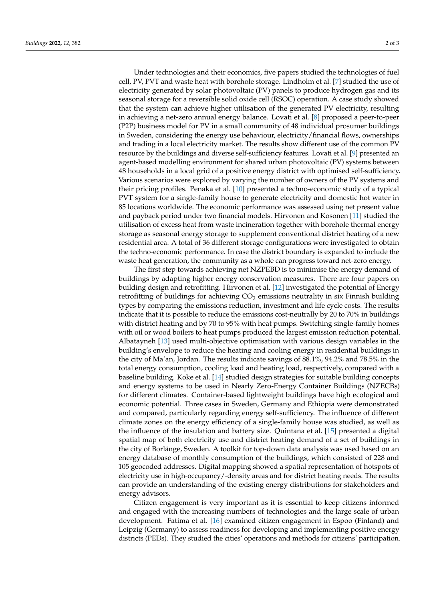Under technologies and their economics, five papers studied the technologies of fuel cell, PV, PVT and waste heat with borehole storage. Lindholm et al. [\[7\]](#page-3-6) studied the use of electricity generated by solar photovoltaic (PV) panels to produce hydrogen gas and its seasonal storage for a reversible solid oxide cell (RSOC) operation. A case study showed that the system can achieve higher utilisation of the generated PV electricity, resulting in achieving a net-zero annual energy balance. Lovati et al. [\[8\]](#page-3-7) proposed a peer-to-peer (P2P) business model for PV in a small community of 48 individual prosumer buildings in Sweden, considering the energy use behaviour, electricity/financial flows, ownerships and trading in a local electricity market. The results show different use of the common PV resource by the buildings and diverse self-sufficiency features. Lovati et al. [\[9\]](#page-3-8) presented an agent-based modelling environment for shared urban photovoltaic (PV) systems between 48 households in a local grid of a positive energy district with optimised self-sufficiency. Various scenarios were explored by varying the number of owners of the PV systems and their pricing profiles. Penaka et al. [\[10\]](#page-3-9) presented a techno-economic study of a typical PVT system for a single-family house to generate electricity and domestic hot water in 85 locations worldwide. The economic performance was assessed using net present value and payback period under two financial models. Hirvonen and Kosonen [\[11\]](#page-3-10) studied the utilisation of excess heat from waste incineration together with borehole thermal energy storage as seasonal energy storage to supplement conventional district heating of a new residential area. A total of 36 different storage configurations were investigated to obtain the techno-economic performance. In case the district boundary is expanded to include the waste heat generation, the community as a whole can progress toward net-zero energy.

The first step towards achieving net NZPEBD is to minimise the energy demand of buildings by adapting higher energy conservation measures. There are four papers on building design and retrofitting. Hirvonen et al. [\[12\]](#page-3-11) investigated the potential of Energy retrofitting of buildings for achieving  $CO<sub>2</sub>$  emissions neutrality in six Finnish building types by comparing the emissions reduction, investment and life cycle costs. The results indicate that it is possible to reduce the emissions cost-neutrally by 20 to 70% in buildings with district heating and by 70 to 95% with heat pumps. Switching single-family homes with oil or wood boilers to heat pumps produced the largest emission reduction potential. Albatayneh [\[13\]](#page-3-12) used multi-objective optimisation with various design variables in the building's envelope to reduce the heating and cooling energy in residential buildings in the city of Ma'an, Jordan. The results indicate savings of 88.1%, 94.2% and 78.5% in the total energy consumption, cooling load and heating load, respectively, compared with a baseline building. Koke et al. [\[14\]](#page-3-13) studied design strategies for suitable building concepts and energy systems to be used in Nearly Zero-Energy Container Buildings (NZECBs) for different climates. Container-based lightweight buildings have high ecological and economic potential. Three cases in Sweden, Germany and Ethiopia were demonstrated and compared, particularly regarding energy self-sufficiency. The influence of different climate zones on the energy efficiency of a single-family house was studied, as well as the influence of the insulation and battery size. Quintana et al. [\[15\]](#page-3-14) presented a digital spatial map of both electricity use and district heating demand of a set of buildings in the city of Borlänge, Sweden. A toolkit for top-down data analysis was used based on an energy database of monthly consumption of the buildings, which consisted of 228 and 105 geocoded addresses. Digital mapping showed a spatial representation of hotspots of electricity use in high-occupancy/-density areas and for district heating needs. The results can provide an understanding of the existing energy distributions for stakeholders and energy advisors.

Citizen engagement is very important as it is essential to keep citizens informed and engaged with the increasing numbers of technologies and the large scale of urban development. Fatima et al. [\[16\]](#page-3-15) examined citizen engagement in Espoo (Finland) and Leipzig (Germany) to assess readiness for developing and implementing positive energy districts (PEDs). They studied the cities' operations and methods for citizens' participation.